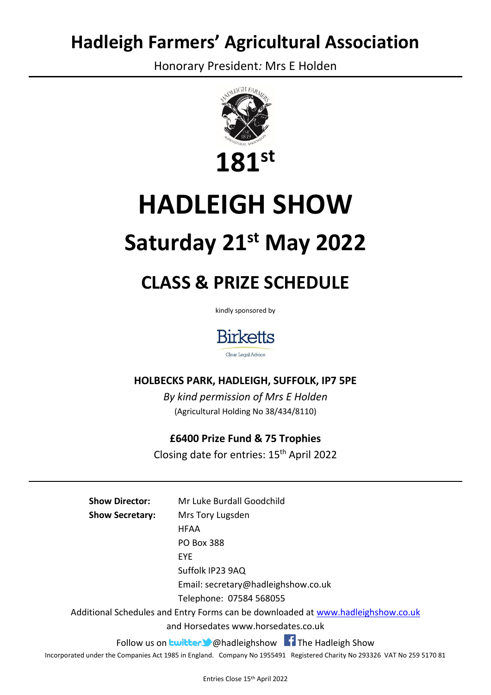## **Hadleigh Farmers' Agricultural Association**

Honorary President*:* Mrs E Holden



# **HADLEIGH SHOW**

## **Saturday 21st May 2022**

## **CLASS & PRIZE SCHEDULE**

kindly sponsored by



### **HOLBECKS PARK, HADLEIGH, SUFFOLK, IP7 5PE**

*By kind permission of Mrs E Holden* (Agricultural Holding No 38/434/8110)

### **£6400 Prize Fund & 75 Trophies**

Closing date for entries: 15th April 2022

**Show Director:** Mr Luke Burdall Goodchild **Show Secretary:** Mrs Tory Lugsden HFAA PO Box 388 EYE Suffolk IP23 9AQ Email: secretary@hadleighshow.co.uk Telephone: 07584 568055 Additional Schedules and Entry Forms can be downloaded at [www.hadleighshow.co.uk](http://www.hadleighshow.co.uk/) and Horsedates www.horsedates.co.uk Follow us on **buitter C** @hadleighshow **The Hadleigh Show** Incorporated under the Companies Act 1985 in England. Company No 1955491 Registered Charity No 293326 VAT No 259 5170 81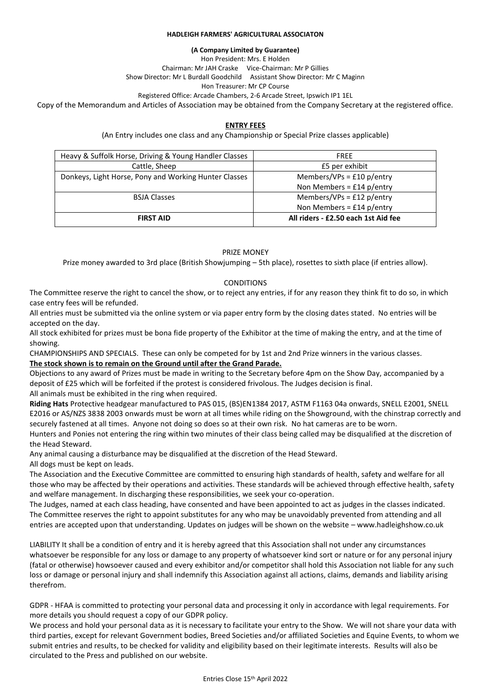#### **HADLEIGH FARMERS' AGRICULTURAL ASSOCIATON**

**(A Company Limited by Guarantee)**

Hon President: Mrs. E Holden

Chairman: Mr JAH Craske Vice-Chairman: Mr P Gillies Show Director: Mr L Burdall Goodchild Assistant Show Director: Mr C Maginn

Hon Treasurer: Mr CP Course

Registered Office: Arcade Chambers, 2-6 Arcade Street, Ipswich IP1 1EL

Copy of the Memorandum and Articles of Association may be obtained from the Company Secretary at the registered office.

#### **ENTRY FEES**

(An Entry includes one class and any Championship or Special Prize classes applicable)

| Heavy & Suffolk Horse, Driving & Young Handler Classes | <b>FREE</b>                         |
|--------------------------------------------------------|-------------------------------------|
| Cattle, Sheep                                          | £5 per exhibit                      |
| Donkeys, Light Horse, Pony and Working Hunter Classes  | Members/VPs = £10 $p/$ entry        |
|                                                        | Non Members = $£14$ p/entry         |
| <b>BSJA Classes</b>                                    | Members/VPs = £12 $p/$ entry        |
|                                                        | Non Members = $£14$ p/entry         |
| <b>FIRST AID</b>                                       | All riders - £2.50 each 1st Aid fee |

#### PRIZE MONEY

Prize money awarded to 3rd place (British Showjumping – 5th place), rosettes to sixth place (if entries allow).

#### **CONDITIONS**

The Committee reserve the right to cancel the show, or to reject any entries, if for any reason they think fit to do so, in which case entry fees will be refunded.

All entries must be submitted via the online system or via paper entry form by the closing dates stated. No entries will be accepted on the day.

All stock exhibited for prizes must be bona fide property of the Exhibitor at the time of making the entry, and at the time of showing.

CHAMPIONSHIPS AND SPECIALS. These can only be competed for by 1st and 2nd Prize winners in the various classes.

**The stock shown is to remain on the Ground until after the Grand Parade.**

Objections to any award of Prizes must be made in writing to the Secretary before 4pm on the Show Day, accompanied by a deposit of £25 which will be forfeited if the protest is considered frivolous. The Judges decision is final. All animals must be exhibited in the ring when required.

**Riding Hats** Protective headgear manufactured to PAS 015, (BS)EN1384 2017, ASTM F1163 04a onwards, SNELL E2001, SNELL E2016 or AS/NZS 3838 2003 onwards must be worn at all times while riding on the Showground, with the chinstrap correctly and securely fastened at all times. Anyone not doing so does so at their own risk. No hat cameras are to be worn.

Hunters and Ponies not entering the ring within two minutes of their class being called may be disqualified at the discretion of the Head Steward.

Any animal causing a disturbance may be disqualified at the discretion of the Head Steward. All dogs must be kept on leads.

The Association and the Executive Committee are committed to ensuring high standards of health, safety and welfare for all those who may be affected by their operations and activities. These standards will be achieved through effective health, safety and welfare management. In discharging these responsibilities, we seek your co-operation.

The Judges, named at each class heading, have consented and have been appointed to act as judges in the classes indicated. The Committee reserves the right to appoint substitutes for any who may be unavoidably prevented from attending and all entries are accepted upon that understanding. Updates on judges will be shown on the website – www.hadleighshow.co.uk

LIABILITY It shall be a condition of entry and it is hereby agreed that this Association shall not under any circumstances whatsoever be responsible for any loss or damage to any property of whatsoever kind sort or nature or for any personal injury (fatal or otherwise) howsoever caused and every exhibitor and/or competitor shall hold this Association not liable for any such loss or damage or personal injury and shall indemnify this Association against all actions, claims, demands and liability arising therefrom.

GDPR - HFAA is committed to protecting your personal data and processing it only in accordance with legal requirements. For more details you should request a copy of our GDPR policy.

We process and hold your personal data as it is necessary to facilitate your entry to the Show. We will not share your data with third parties, except for relevant Government bodies, Breed Societies and/or affiliated Societies and Equine Events, to whom we submit entries and results, to be checked for validity and eligibility based on their legitimate interests. Results will also be circulated to the Press and published on our website.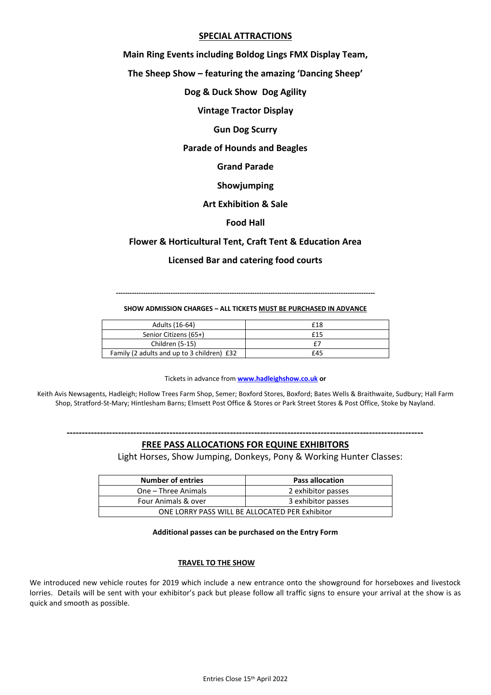#### **SPECIAL ATTRACTIONS**

**Main Ring Events including Boldog Lings FMX Display Team,**

**The Sheep Show – featuring the amazing 'Dancing Sheep'**

**Dog & Duck Show Dog Agility**

**Vintage Tractor Display**

**Gun Dog Scurry**

#### **Parade of Hounds and Beagles**

**Grand Parade**

**Showjumping**

#### **Art Exhibition & Sale**

#### **Food Hall**

#### **Flower & Horticultural Tent, Craft Tent & Education Area**

#### **Licensed Bar and catering food courts**

**------------------------------------------------------------------------------------------------------------------**

#### **SHOW ADMISSION CHARGES – ALL TICKETS MUST BE PURCHASED IN ADVANCE**

| Adults (16-64)                             | £18 |
|--------------------------------------------|-----|
| Senior Citizens (65+)                      | £15 |
| Children (5-15)                            |     |
| Family (2 adults and up to 3 children) £32 | £45 |

Tickets in advance from **[www.hadleighshow.co.uk](http://www.hadleighshow.co.uk/) or**

Keith Avis Newsagents, Hadleigh; Hollow Trees Farm Shop, Semer; Boxford Stores, Boxford; Bates Wells & Braithwaite, Sudbury; Hall Farm Shop, Stratford-St-Mary; Hintlesham Barns; Elmsett Post Office & Stores or Park Street Stores & Post Office, Stoke by Nayland.

**----------------------------------------------------------------------------------------------------------------------**

#### **FREE PASS ALLOCATIONS FOR EQUINE EXHIBITORS**

Light Horses, Show Jumping, Donkeys, Pony & Working Hunter Classes:

| <b>Number of entries</b>                       | <b>Pass allocation</b> |
|------------------------------------------------|------------------------|
| One – Three Animals                            | 2 exhibitor passes     |
| Four Animals & over                            | 3 exhibitor passes     |
| ONE LORRY PASS WILL BE ALLOCATED PER Exhibitor |                        |

#### **Additional passes can be purchased on the Entry Form**

#### **TRAVEL TO THE SHOW**

We introduced new vehicle routes for 2019 which include a new entrance onto the showground for horseboxes and livestock lorries. Details will be sent with your exhibitor's pack but please follow all traffic signs to ensure your arrival at the show is as quick and smooth as possible.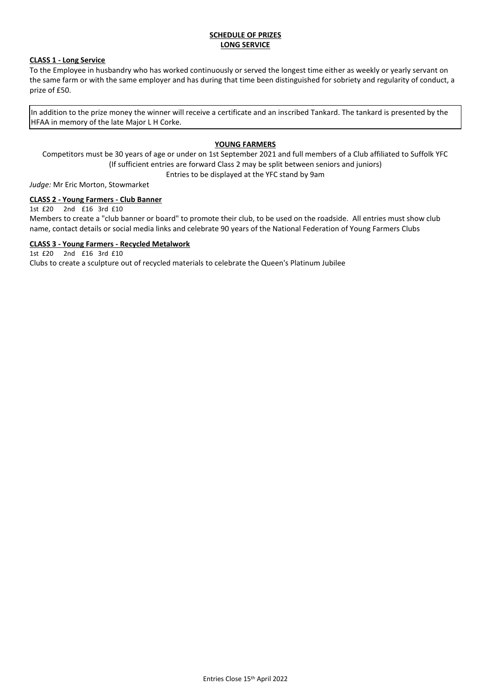#### **SCHEDULE OF PRIZES LONG SERVICE**

#### **CLASS 1 - Long Service**

To the Employee in husbandry who has worked continuously or served the longest time either as weekly or yearly servant on the same farm or with the same employer and has during that time been distinguished for sobriety and regularity of conduct, a prize of £50.

In addition to the prize money the winner will receive a certificate and an inscribed Tankard. The tankard is presented by the HFAA in memory of the late Major L H Corke.

#### **YOUNG FARMERS**

Competitors must be 30 years of age or under on 1st September 2021 and full members of a Club affiliated to Suffolk YFC (If sufficient entries are forward Class 2 may be split between seniors and juniors)

Entries to be displayed at the YFC stand by 9am

*Judge:* Mr Eric Morton, Stowmarket

#### **CLASS 2 - Young Farmers - Club Banner**

1st £20 2nd £16 3rd £10

Members to create a "club banner or board" to promote their club, to be used on the roadside. All entries must show club name, contact details or social media links and celebrate 90 years of the National Federation of Young Farmers Clubs

#### **CLASS 3 - Young Farmers - Recycled Metalwork**

1st £20 2nd £16 3rd £10

Clubs to create a sculpture out of recycled materials to celebrate the Queen's Platinum Jubilee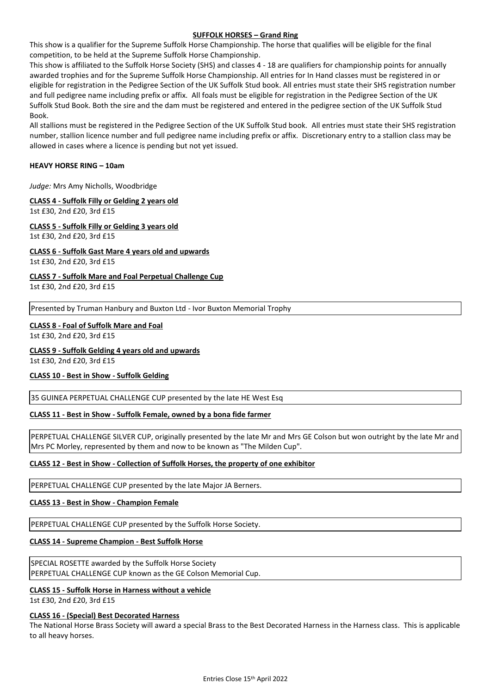#### **SUFFOLK HORSES – Grand Ring**

This show is a qualifier for the Supreme Suffolk Horse Championship. The horse that qualifies will be eligible for the final competition, to be held at the Supreme Suffolk Horse Championship.

This show is affiliated to the Suffolk Horse Society (SHS) and classes 4 - 18 are qualifiers for championship points for annually awarded trophies and for the Supreme Suffolk Horse Championship. All entries for In Hand classes must be registered in or eligible for registration in the Pedigree Section of the UK Suffolk Stud book. All entries must state their SHS registration number and full pedigree name including prefix or affix. All foals must be eligible for registration in the Pedigree Section of the UK Suffolk Stud Book. Both the sire and the dam must be registered and entered in the pedigree section of the UK Suffolk Stud Book.

All stallions must be registered in the Pedigree Section of the UK Suffolk Stud book. All entries must state their SHS registration number, stallion licence number and full pedigree name including prefix or affix. Discretionary entry to a stallion class may be allowed in cases where a licence is pending but not yet issued.

#### **HEAVY HORSE RING – 10am**

*Judge:* Mrs Amy Nicholls, Woodbridge

#### **CLASS 4 - Suffolk Filly or Gelding 2 years old**

1st £30, 2nd £20, 3rd £15

#### **CLASS 5 - Suffolk Filly or Gelding 3 years old**

1st £30, 2nd £20, 3rd £15

#### **CLASS 6 - Suffolk Gast Mare 4 years old and upwards**

1st £30, 2nd £20, 3rd £15

#### **CLASS 7 - Suffolk Mare and Foal Perpetual Challenge Cup**

1st £30, 2nd £20, 3rd £15

Presented by Truman Hanbury and Buxton Ltd - Ivor Buxton Memorial Trophy

#### **CLASS 8 - Foal of Suffolk Mare and Foal**

1st £30, 2nd £20, 3rd £15

#### **CLASS 9 - Suffolk Gelding 4 years old and upwards**

1st £30, 2nd £20, 3rd £15

#### **CLASS 10 - Best in Show - Suffolk Gelding**

35 GUINEA PERPETUAL CHALLENGE CUP presented by the late HE West Esq

#### **CLASS 11 - Best in Show - Suffolk Female, owned by a bona fide farmer**

PERPETUAL CHALLENGE SILVER CUP, originally presented by the late Mr and Mrs GE Colson but won outright by the late Mr and Mrs PC Morley, represented by them and now to be known as "The Milden Cup".

#### **CLASS 12 - Best in Show - Collection of Suffolk Horses, the property of one exhibitor**

PERPETUAL CHALLENGE CUP presented by the late Major JA Berners.

#### **CLASS 13 - Best in Show - Champion Female**

PERPETUAL CHALLENGE CUP presented by the Suffolk Horse Society.

#### **CLASS 14 - Supreme Champion - Best Suffolk Horse**

SPECIAL ROSETTE awarded by the Suffolk Horse Society PERPETUAL CHALLENGE CUP known as the GE Colson Memorial Cup.

#### **CLASS 15 - Suffolk Horse in Harness without a vehicle**

1st £30, 2nd £20, 3rd £15

#### **CLASS 16 - (Special) Best Decorated Harness**

The National Horse Brass Society will award a special Brass to the Best Decorated Harness in the Harness class. This is applicable to all heavy horses.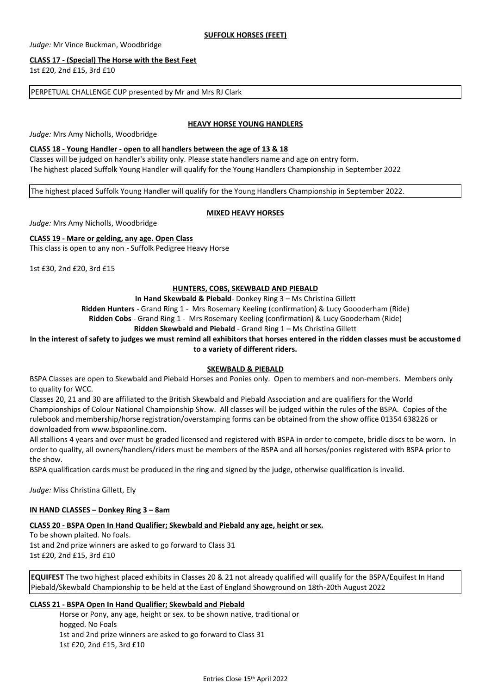*Judge:* Mr Vince Buckman, Woodbridge

#### **CLASS 17 - (Special) The Horse with the Best Feet**

1st £20, 2nd £15, 3rd £10

PERPETUAL CHALLENGE CUP presented by Mr and Mrs RJ Clark

#### **HEAVY HORSE YOUNG HANDLERS**

*Judge:* Mrs Amy Nicholls, Woodbridge

#### **CLASS 18 - Young Handler - open to all handlers between the age of 13 & 18**

Classes will be judged on handler's ability only. Please state handlers name and age on entry form. The highest placed Suffolk Young Handler will qualify for the Young Handlers Championship in September 2022

The highest placed Suffolk Young Handler will qualify for the Young Handlers Championship in September 2022.

#### **MIXED HEAVY HORSES**

*Judge:* Mrs Amy Nicholls, Woodbridge

#### **CLASS 19 - Mare or gelding, any age. Open Class**

This class is open to any non - Suffolk Pedigree Heavy Horse

1st £30, 2nd £20, 3rd £15

#### **HUNTERS, COBS, SKEWBALD AND PIEBALD**

**In Hand Skewbald & Piebald**- Donkey Ring 3 – Ms Christina Gillett

**Ridden Hunters** - Grand Ring 1 - Mrs Rosemary Keeling (confirmation) & Lucy Goooderham (Ride)

**Ridden Cobs** - Grand Ring 1 - Mrs Rosemary Keeling (confirmation) & Lucy Gooderham (Ride)

**Ridden Skewbald and Piebald** - Grand Ring 1 – Ms Christina Gillett

**In the interest of safety to judges we must remind all exhibitors that horses entered in the ridden classes must be accustomed to a variety of different riders.**

#### **SKEWBALD & PIEBALD**

BSPA Classes are open to Skewbald and Piebald Horses and Ponies only. Open to members and non-members. Members only to quality for WCC.

Classes 20, 21 and 30 are affiliated to the British Skewbald and Piebald Association and are qualifiers for the World Championships of Colour National Championship Show. All classes will be judged within the rules of the BSPA. Copies of the rulebook and membership/horse registration/overstamping forms can be obtained from the show office 01354 638226 or downloaded from www.bspaonline.com.

All stallions 4 years and over must be graded licensed and registered with BSPA in order to compete, bridle discs to be worn. In order to quality, all owners/handlers/riders must be members of the BSPA and all horses/ponies registered with BSPA prior to the show.

BSPA qualification cards must be produced in the ring and signed by the judge, otherwise qualification is invalid.

*Judge:* Miss Christina Gillett, Ely

#### **IN HAND CLASSES – Donkey Ring 3 – 8am**

#### **CLASS 20 - BSPA Open In Hand Qualifier; Skewbald and Piebald any age, height or sex.**

To be shown plaited. No foals. 1st and 2nd prize winners are asked to go forward to Class 31 1st £20, 2nd £15, 3rd £10

**EQUIFEST** The two highest placed exhibits in Classes 20 & 21 not already qualified will qualify for the BSPA/Equifest In Hand Piebald/Skewbald Championship to be held at the East of England Showground on 18th-20th August 2022

#### **CLASS 21 - BSPA Open In Hand Qualifier; Skewbald and Piebald**

Horse or Pony, any age, height or sex. to be shown native, traditional or hogged. No Foals 1st and 2nd prize winners are asked to go forward to Class 31 1st £20, 2nd £15, 3rd £10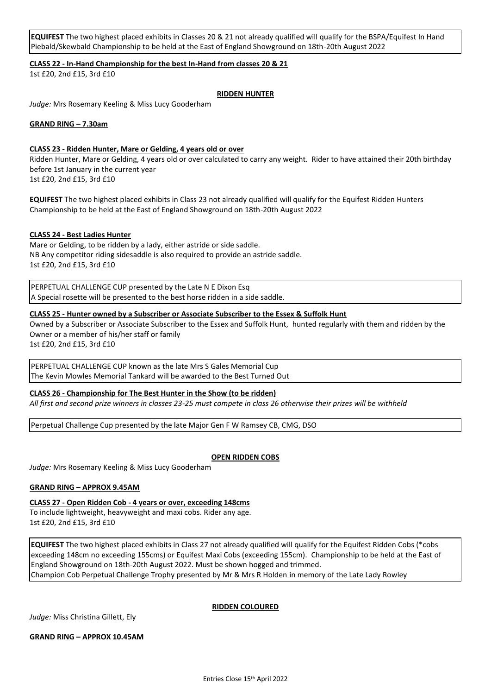**EQUIFEST** The two highest placed exhibits in Classes 20 & 21 not already qualified will qualify for the BSPA/Equifest In Hand Piebald/Skewbald Championship to be held at the East of England Showground on 18th-20th August 2022

**CLASS 22 - In-Hand Championship for the best In-Hand from classes 20 & 21**

1st £20, 2nd £15, 3rd £10

#### **RIDDEN HUNTER**

*Judge:* Mrs Rosemary Keeling & Miss Lucy Gooderham

#### **GRAND RING – 7.30am**

#### **CLASS 23 - Ridden Hunter, Mare or Gelding, 4 years old or over**

Ridden Hunter, Mare or Gelding, 4 years old or over calculated to carry any weight. Rider to have attained their 20th birthday before 1st January in the current year

1st £20, 2nd £15, 3rd £10

**EQUIFEST** The two highest placed exhibits in Class 23 not already qualified will qualify for the Equifest Ridden Hunters Championship to be held at the East of England Showground on 18th-20th August 2022

#### **CLASS 24 - Best Ladies Hunter**

Mare or Gelding, to be ridden by a lady, either astride or side saddle. NB Any competitor riding sidesaddle is also required to provide an astride saddle. 1st £20, 2nd £15, 3rd £10

PERPETUAL CHALLENGE CUP presented by the Late N E Dixon Esq A Special rosette will be presented to the best horse ridden in a side saddle.

#### **CLASS 25 - Hunter owned by a Subscriber or Associate Subscriber to the Essex & Suffolk Hunt**

Owned by a Subscriber or Associate Subscriber to the Essex and Suffolk Hunt, hunted regularly with them and ridden by the Owner or a member of his/her staff or family

1st £20, 2nd £15, 3rd £10

PERPETUAL CHALLENGE CUP known as the late Mrs S Gales Memorial Cup The Kevin Mowles Memorial Tankard will be awarded to the Best Turned Out

#### **CLASS 26 - Championship for The Best Hunter in the Show (to be ridden)**

*All first and second prize winners in classes 23-25 must compete in class 26 otherwise their prizes will be withheld*

Perpetual Challenge Cup presented by the late Major Gen F W Ramsey CB, CMG, DSO

#### **OPEN RIDDEN COBS**

*Judge:* Mrs Rosemary Keeling & Miss Lucy Gooderham

#### **GRAND RING – APPROX 9.45AM**

**CLASS 27 - Open Ridden Cob - 4 years or over, exceeding 148cms**

To include lightweight, heavyweight and maxi cobs. Rider any age. 1st £20, 2nd £15, 3rd £10

**EQUIFEST** The two highest placed exhibits in Class 27 not already qualified will qualify for the Equifest Ridden Cobs (\*cobs exceeding 148cm no exceeding 155cms) or Equifest Maxi Cobs (exceeding 155cm). Championship to be held at the East of England Showground on 18th-20th August 2022. Must be shown hogged and trimmed. Champion Cob Perpetual Challenge Trophy presented by Mr & Mrs R Holden in memory of the Late Lady Rowley

**RIDDEN COLOURED**

*Judge:* Miss Christina Gillett, Ely

**GRAND RING – APPROX 10.45AM**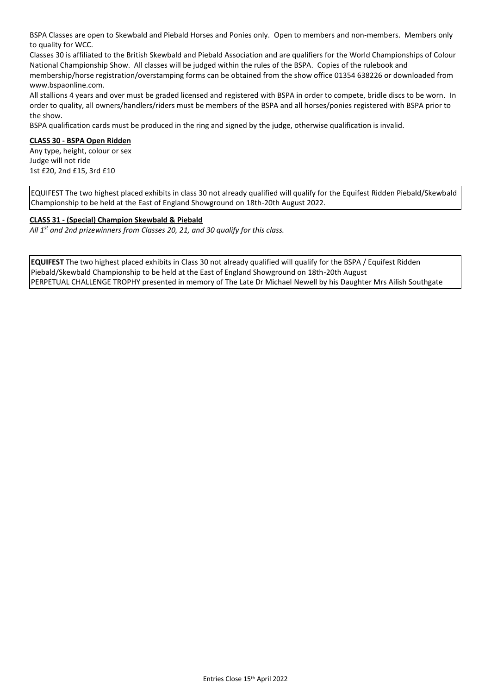BSPA Classes are open to Skewbald and Piebald Horses and Ponies only. Open to members and non-members. Members only to quality for WCC.

Classes 30 is affiliated to the British Skewbald and Piebald Association and are qualifiers for the World Championships of Colour National Championship Show. All classes will be judged within the rules of the BSPA. Copies of the rulebook and membership/horse registration/overstamping forms can be obtained from the show office 01354 638226 or downloaded from www.bspaonline.com.

All stallions 4 years and over must be graded licensed and registered with BSPA in order to compete, bridle discs to be worn. In order to quality, all owners/handlers/riders must be members of the BSPA and all horses/ponies registered with BSPA prior to the show.

BSPA qualification cards must be produced in the ring and signed by the judge, otherwise qualification is invalid.

#### **CLASS 30 - BSPA Open Ridden**

Any type, height, colour or sex Judge will not ride 1st £20, 2nd £15, 3rd £10

EQUIFEST The two highest placed exhibits in class 30 not already qualified will qualify for the Equifest Ridden Piebald/Skewbald Championship to be held at the East of England Showground on 18th-20th August 2022.

#### **CLASS 31 - (Special) Champion Skewbald & Piebald**

*All 1st and 2nd prizewinners from Classes 20, 21, and 30 qualify for this class.*

**EQUIFEST** The two highest placed exhibits in Class 30 not already qualified will qualify for the BSPA / Equifest Ridden Piebald/Skewbald Championship to be held at the East of England Showground on 18th-20th August PERPETUAL CHALLENGE TROPHY presented in memory of The Late Dr Michael Newell by his Daughter Mrs Ailish Southgate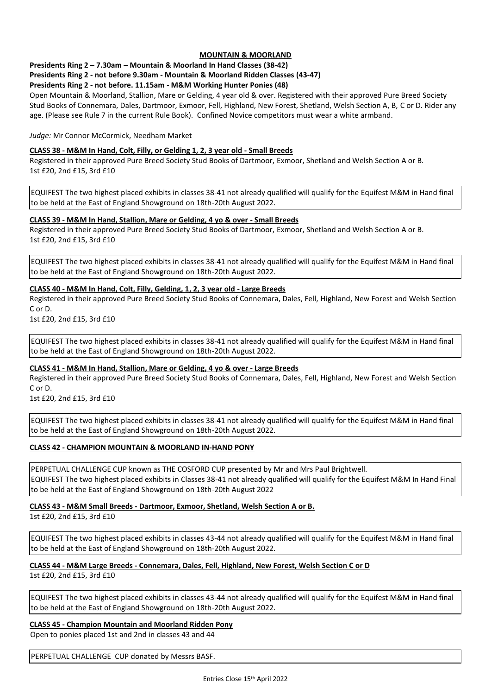#### **MOUNTAIN & MOORLAND**

**Presidents Ring 2 – 7.30am – Mountain & Moorland In Hand Classes (38-42)**

#### **Presidents Ring 2 - not before 9.30am - Mountain & Moorland Ridden Classes (43-47)**

#### **Presidents Ring 2 - not before. 11.15am - M&M Working Hunter Ponies (48)**

Open Mountain & Moorland, Stallion, Mare or Gelding, 4 year old & over. Registered with their approved Pure Breed Society Stud Books of Connemara, Dales, Dartmoor, Exmoor, Fell, Highland, New Forest, Shetland, Welsh Section A, B, C or D. Rider any age. (Please see Rule 7 in the current Rule Book). Confined Novice competitors must wear a white armband.

*Judge:* Mr Connor McCormick, Needham Market

#### **CLASS 38 - M&M In Hand, Colt, Filly, or Gelding 1, 2, 3 year old - Small Breeds**

Registered in their approved Pure Breed Society Stud Books of Dartmoor, Exmoor, Shetland and Welsh Section A or B. 1st £20, 2nd £15, 3rd £10

EQUIFEST The two highest placed exhibits in classes 38-41 not already qualified will qualify for the Equifest M&M in Hand final to be held at the East of England Showground on 18th-20th August 2022.

#### **CLASS 39 - M&M In Hand, Stallion, Mare or Gelding, 4 yo & over - Small Breeds**

Registered in their approved Pure Breed Society Stud Books of Dartmoor, Exmoor, Shetland and Welsh Section A or B. 1st £20, 2nd £15, 3rd £10

EQUIFEST The two highest placed exhibits in classes 38-41 not already qualified will qualify for the Equifest M&M in Hand final to be held at the East of England Showground on 18th-20th August 2022.

#### **CLASS 40 - M&M In Hand, Colt, Filly, Gelding, 1, 2, 3 year old - Large Breeds**

Registered in their approved Pure Breed Society Stud Books of Connemara, Dales, Fell, Highland, New Forest and Welsh Section C or D.

1st £20, 2nd £15, 3rd £10

EQUIFEST The two highest placed exhibits in classes 38-41 not already qualified will qualify for the Equifest M&M in Hand final to be held at the East of England Showground on 18th-20th August 2022.

#### **CLASS 41 - M&M In Hand, Stallion, Mare or Gelding, 4 yo & over - Large Breeds**

Registered in their approved Pure Breed Society Stud Books of Connemara, Dales, Fell, Highland, New Forest and Welsh Section C or D.

1st £20, 2nd £15, 3rd £10

EQUIFEST The two highest placed exhibits in classes 38-41 not already qualified will qualify for the Equifest M&M in Hand final to be held at the East of England Showground on 18th-20th August 2022.

#### **CLASS 42 - CHAMPION MOUNTAIN & MOORLAND IN-HAND PONY**

PERPETUAL CHALLENGE CUP known as THE COSFORD CUP presented by Mr and Mrs Paul Brightwell. EQUIFEST The two highest placed exhibits in Classes 38-41 not already qualified will qualify for the Equifest M&M In Hand Final to be held at the East of England Showground on 18th-20th August 2022

#### **CLASS 43 - M&M Small Breeds - Dartmoor, Exmoor, Shetland, Welsh Section A or B.**

1st £20, 2nd £15, 3rd £10

EQUIFEST The two highest placed exhibits in classes 43-44 not already qualified will qualify for the Equifest M&M in Hand final to be held at the East of England Showground on 18th-20th August 2022.

#### **CLASS 44 - M&M Large Breeds - Connemara, Dales, Fell, Highland, New Forest, Welsh Section C or D** 1st £20, 2nd £15, 3rd £10

EQUIFEST The two highest placed exhibits in classes 43-44 not already qualified will qualify for the Equifest M&M in Hand final to be held at the East of England Showground on 18th-20th August 2022.

**CLASS 45 - Champion Mountain and Moorland Ridden Pony** 

Open to ponies placed 1st and 2nd in classes 43 and 44

PERPETUAL CHALLENGE CUP donated by Messrs BASF.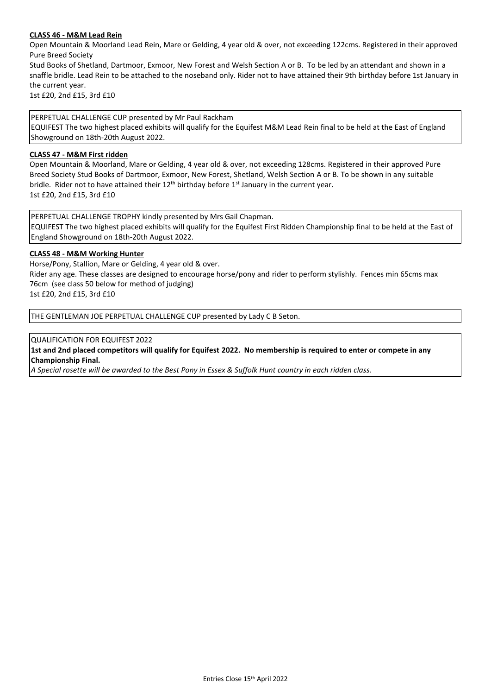#### **CLASS 46 - M&M Lead Rein**

Open Mountain & Moorland Lead Rein, Mare or Gelding, 4 year old & over, not exceeding 122cms. Registered in their approved Pure Breed Society

Stud Books of Shetland, Dartmoor, Exmoor, New Forest and Welsh Section A or B. To be led by an attendant and shown in a snaffle bridle. Lead Rein to be attached to the noseband only. Rider not to have attained their 9th birthday before 1st January in the current year.

1st £20, 2nd £15, 3rd £10

PERPETUAL CHALLENGE CUP presented by Mr Paul Rackham EQUIFEST The two highest placed exhibits will qualify for the Equifest M&M Lead Rein final to be held at the East of England Showground on 18th-20th August 2022.

#### **CLASS 47 - M&M First ridden**

Open Mountain & Moorland, Mare or Gelding, 4 year old & over, not exceeding 128cms. Registered in their approved Pure Breed Society Stud Books of Dartmoor, Exmoor, New Forest, Shetland, Welsh Section A or B. To be shown in any suitable bridle. Rider not to have attained their  $12<sup>th</sup>$  birthday before  $1<sup>st</sup>$  January in the current year. 1st £20, 2nd £15, 3rd £10

PERPETUAL CHALLENGE TROPHY kindly presented by Mrs Gail Chapman. EQUIFEST The two highest placed exhibits will qualify for the Equifest First Ridden Championship final to be held at the East of England Showground on 18th-20th August 2022.

#### **CLASS 48 - M&M Working Hunter**

Horse/Pony, Stallion, Mare or Gelding, 4 year old & over.

Rider any age. These classes are designed to encourage horse/pony and rider to perform stylishly. Fences min 65cms max 76cm (see class 50 below for method of judging)

1st £20, 2nd £15, 3rd £10

THE GENTLEMAN JOE PERPETUAL CHALLENGE CUP presented by Lady C B Seton.

QUALIFICATION FOR EQUIFEST 2022

**1st and 2nd placed competitors will qualify for Equifest 2022. No membership is required to enter or compete in any Championship Final.**

*A Special rosette will be awarded to the Best Pony in Essex & Suffolk Hunt country in each ridden class.*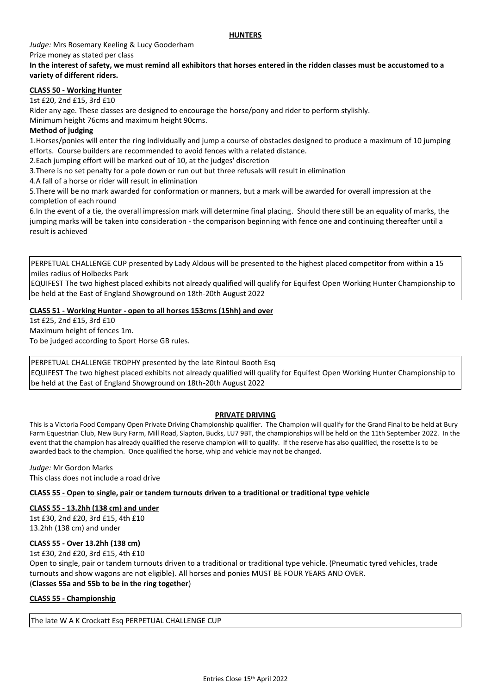#### **HUNTERS**

*Judge:* Mrs Rosemary Keeling & Lucy Gooderham Prize money as stated per class

#### **In the interest of safety, we must remind all exhibitors that horses entered in the ridden classes must be accustomed to a variety of different riders.**

#### **CLASS 50 - Working Hunter**

1st £20, 2nd £15, 3rd £10

Rider any age. These classes are designed to encourage the horse/pony and rider to perform stylishly.

Minimum height 76cms and maximum height 90cms.

#### **Method of judging**

1.Horses/ponies will enter the ring individually and jump a course of obstacles designed to produce a maximum of 10 jumping efforts. Course builders are recommended to avoid fences with a related distance.

2.Each jumping effort will be marked out of 10, at the judges' discretion

3.There is no set penalty for a pole down or run out but three refusals will result in elimination

4.A fall of a horse or rider will result in elimination

5.There will be no mark awarded for conformation or manners, but a mark will be awarded for overall impression at the completion of each round

6.In the event of a tie, the overall impression mark will determine final placing. Should there still be an equality of marks, the jumping marks will be taken into consideration - the comparison beginning with fence one and continuing thereafter until a result is achieved

PERPETUAL CHALLENGE CUP presented by Lady Aldous will be presented to the highest placed competitor from within a 15 miles radius of Holbecks Park

EQUIFEST The two highest placed exhibits not already qualified will qualify for Equifest Open Working Hunter Championship to be held at the East of England Showground on 18th-20th August 2022

#### **CLASS 51 - Working Hunter - open to all horses 153cms (15hh) and over**

1st £25, 2nd £15, 3rd £10 Maximum height of fences 1m. To be judged according to Sport Horse GB rules.

PERPETUAL CHALLENGE TROPHY presented by the late Rintoul Booth Esq EQUIFEST The two highest placed exhibits not already qualified will qualify for Equifest Open Working Hunter Championship to be held at the East of England Showground on 18th-20th August 2022

#### **PRIVATE DRIVING**

This is a Victoria Food Company Open Private Driving Championship qualifier. The Champion will qualify for the Grand Final to be held at Bury Farm Equestrian Club, New Bury Farm, Mill Road, Slapton, Bucks, LU7 9BT, the championships will be held on the 11th September 2022. In the event that the champion has already qualified the reserve champion will to qualify. If the reserve has also qualified, the rosette is to be awarded back to the champion. Once qualified the horse, whip and vehicle may not be changed.

*Judge:* Mr Gordon Marks This class does not include a road drive

**CLASS 55 - Open to single, pair or tandem turnouts driven to a traditional or traditional type vehicle**

#### **CLASS 55 - 13.2hh (138 cm) and under**

1st £30, 2nd £20, 3rd £15, 4th £10 13.2hh (138 cm) and under

#### **CLASS 55 - Over 13.2hh (138 cm)**

1st £30, 2nd £20, 3rd £15, 4th £10

Open to single, pair or tandem turnouts driven to a traditional or traditional type vehicle. (Pneumatic tyred vehicles, trade turnouts and show wagons are not eligible). All horses and ponies MUST BE FOUR YEARS AND OVER. (**Classes 55a and 55b to be in the ring together**)

#### **CLASS 55 - Championship**

The late W A K Crockatt Esq PERPETUAL CHALLENGE CUP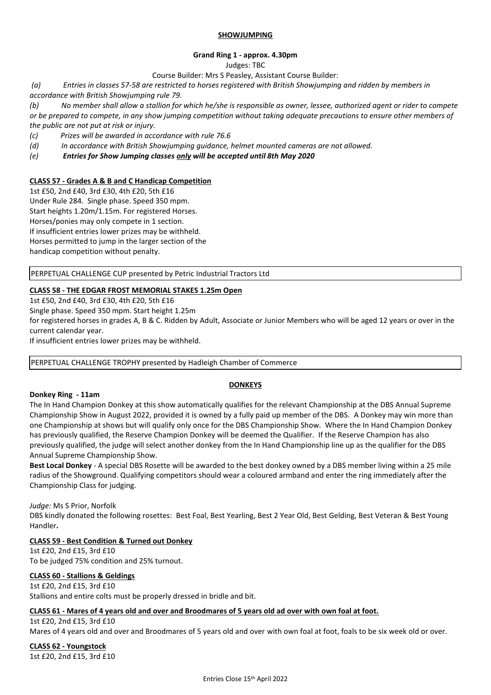#### **SHOWJUMPING**

#### **Grand Ring 1 - approx. 4.30pm**

Judges: TBC

Course Builder: Mrs S Peasley, Assistant Course Builder:

*(a) Entries in classes 57-58 are restricted to horses registered with British Showjumping and ridden by members in accordance with British Showjumping rule 79.*

*(b) No member shall allow a stallion for which he/she is responsible as owner, lessee, authorized agent or rider to compete or be prepared to compete, in any show jumping competition without taking adequate precautions to ensure other members of the public are not put at risk or injury.*

*(c) Prizes will be awarded in accordance with rule 76.6*

*(d) In accordance with British Showjumping guidance, helmet mounted cameras are not allowed.*

*(e) Entries for Show Jumping classes only will be accepted until 8th May 2020*

#### **CLASS 57 - Grades A & B and C Handicap Competition**

1st £50, 2nd £40, 3rd £30, 4th £20, 5th £16 Under Rule 284. Single phase. Speed 350 mpm. Start heights 1.20m/1.15m. For registered Horses. Horses/ponies may only compete in 1 section. If insufficient entries lower prizes may be withheld. Horses permitted to jump in the larger section of the handicap competition without penalty.

PERPETUAL CHALLENGE CUP presented by Petric Industrial Tractors Ltd

#### **CLASS 58 - THE EDGAR FROST MEMORIAL STAKES 1.25m Open**

1st £50, 2nd £40, 3rd £30, 4th £20, 5th £16

Single phase. Speed 350 mpm. Start height 1.25m

for registered horses in grades A, B & C. Ridden by Adult, Associate or Junior Members who will be aged 12 years or over in the current calendar year.

If insufficient entries lower prizes may be withheld.

PERPETUAL CHALLENGE TROPHY presented by Hadleigh Chamber of Commerce

#### **DONKEYS**

#### **Donkey Ring - 11am**

The In Hand Champion Donkey at this show automatically qualifies for the relevant Championship at the DBS Annual Supreme Championship Show in August 2022, provided it is owned by a fully paid up member of the DBS. A Donkey may win more than one Championship at shows but will qualify only once for the DBS Championship Show. Where the In Hand Champion Donkey has previously qualified, the Reserve Champion Donkey will be deemed the Qualifier. If the Reserve Champion has also previously qualified, the judge will select another donkey from the In Hand Championship line up as the qualifier for the DBS Annual Supreme Championship Show.

**Best Local Donkey** - A special DBS Rosette will be awarded to the best donkey owned by a DBS member living within a 25 mile radius of the Showground. Qualifying competitors should wear a coloured armband and enter the ring immediately after the Championship Class for judging.

*Judge:* Ms S Prior, Norfolk

DBS kindly donated the following rosettes: Best Foal, Best Yearling, Best 2 Year Old, Best Gelding, Best Veteran & Best Young Handler**.**

#### **CLASS 59 - Best Condition & Turned out Donkey**

1st £20, 2nd £15, 3rd £10 To be judged 75% condition and 25% turnout.

#### **CLASS 60 - Stallions & Geldings**

1st £20, 2nd £15, 3rd £10 Stallions and entire colts must be properly dressed in bridle and bit.

#### **CLASS 61 - Mares of 4 years old and over and Broodmares of 5 years old ad over with own foal at foot.**

1st £20, 2nd £15, 3rd £10 Mares of 4 years old and over and Broodmares of 5 years old and over with own foal at foot, foals to be six week old or over.

**CLASS 62 - Youngstock**  1st £20, 2nd £15, 3rd £10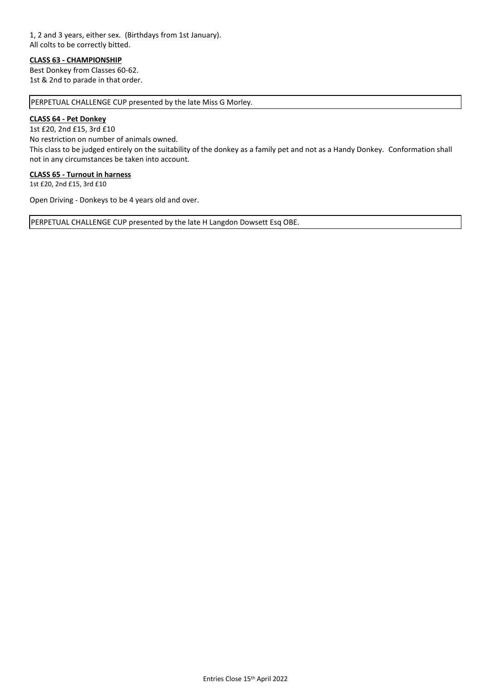#### 1, 2 and 3 years, either sex. (Birthdays from 1st January). All colts to be correctly bitted.

#### **CLASS 63 - CHAMPIONSHIP**

Best Donkey from Classes 60-62. 1st & 2nd to parade in that order.

PERPETUAL CHALLENGE CUP presented by the late Miss G Morley.

#### **CLASS 64 - Pet Donkey**

1st £20, 2nd £15, 3rd £10

No restriction on number of animals owned.

This class to be judged entirely on the suitability of the donkey as a family pet and not as a Handy Donkey. Conformation shall not in any circumstances be taken into account.

#### **CLASS 65 - Turnout in harness**

1st £20, 2nd £15, 3rd £10

Open Driving - Donkeys to be 4 years old and over.

PERPETUAL CHALLENGE CUP presented by the late H Langdon Dowsett Esq OBE.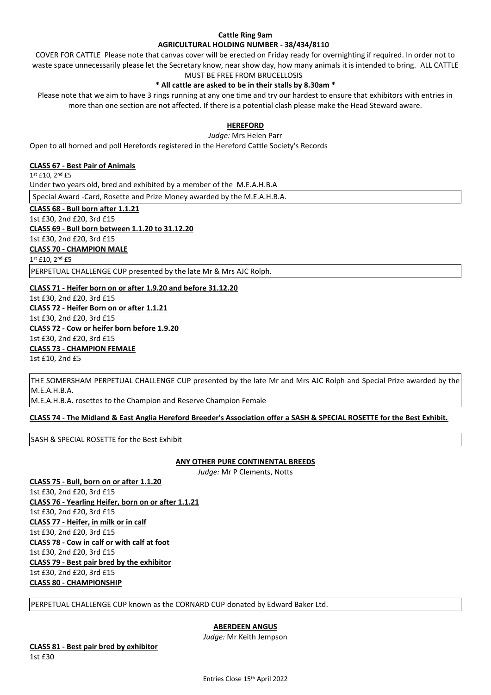#### **Cattle Ring 9am AGRICULTURAL HOLDING NUMBER - 38/434/8110**

COVER FOR CATTLE Please note that canvas cover will be erected on Friday ready for overnighting if required. In order not to waste space unnecessarily please let the Secretary know, near show day, how many animals it is intended to bring. ALL CATTLE MUST BE FREE FROM BRUCELLOSIS

#### **\* All cattle are asked to be in their stalls by 8.30am \***

Please note that we aim to have 3 rings running at any one time and try our hardest to ensure that exhibitors with entries in more than one section are not affected. If there is a potential clash please make the Head Steward aware.

#### **HEREFORD**

*Judge:* Mrs Helen Parr

Open to all horned and poll Herefords registered in the Hereford Cattle Society's Records

#### **CLASS 67 - Best Pair of Animals**

1 st £10, 2nd £5 Under two years old, bred and exhibited by a member of the M.E.A.H.B.A Special Award -Card, Rosette and Prize Money awarded by the M.E.A.H.B.A.

**CLASS 68 - Bull born after 1.1.21** 1st £30, 2nd £20, 3rd £15 **CLASS 69 - Bull born between 1.1.20 to 31.12.20** 1st £30, 2nd £20, 3rd £15 **CLASS 70 - CHAMPION MALE** 1 st £10, 2nd £5 PERPETUAL CHALLENGE CUP presented by the late Mr & Mrs AJC Rolph.

**CLASS 71 - Heifer born on or after 1.9.20 and before 31.12.20**

1st £30, 2nd £20, 3rd £15 **CLASS 72 - Heifer Born on or after 1.1.21** 1st £30, 2nd £20, 3rd £15 **CLASS 72 - Cow or heifer born before 1.9.20** 1st £30, 2nd £20, 3rd £15 **CLASS 73 - CHAMPION FEMALE** 1st £10, 2nd £5

THE SOMERSHAM PERPETUAL CHALLENGE CUP presented by the late Mr and Mrs AJC Rolph and Special Prize awarded by the M.E.A.H.B.A.

M.E.A.H.B.A. rosettes to the Champion and Reserve Champion Female

**CLASS 74 - The Midland & East Anglia Hereford Breeder's Association offer a SASH & SPECIAL ROSETTE for the Best Exhibit.**

SASH & SPECIAL ROSETTE for the Best Exhibit

#### **ANY OTHER PURE CONTINENTAL BREEDS**

*Judge:* Mr P Clements, Notts

**CLASS 75 - Bull, born on or after 1.1.20** 1st £30, 2nd £20, 3rd £15 **CLASS 76 - Yearling Heifer, born on or after 1.1.21** 1st £30, 2nd £20, 3rd £15 **CLASS 77 - Heifer, in milk or in calf** 1st £30, 2nd £20, 3rd £15 **CLASS 78 - Cow in calf or with calf at foot** 1st £30, 2nd £20, 3rd £15 **CLASS 79 - Best pair bred by the exhibitor** 1st £30, 2nd £20, 3rd £15 **CLASS 80 - CHAMPIONSHIP**

PERPETUAL CHALLENGE CUP known as the CORNARD CUP donated by Edward Baker Ltd.

#### **ABERDEEN ANGUS**

*Judge:* Mr Keith Jempson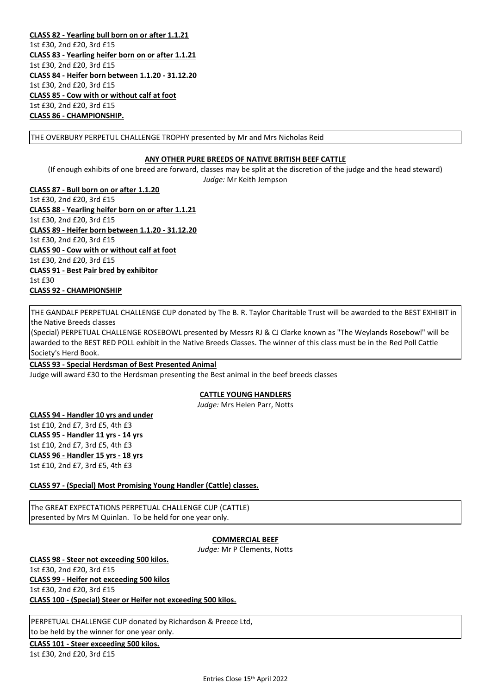**CLASS 82 - Yearling bull born on or after 1.1.21** 1st £30, 2nd £20, 3rd £15 **CLASS 83 - Yearling heifer born on or after 1.1.21** 1st £30, 2nd £20, 3rd £15 **CLASS 84 - Heifer born between 1.1.20 - 31.12.20** 1st £30, 2nd £20, 3rd £15 **CLASS 85 - Cow with or without calf at foot** 1st £30, 2nd £20, 3rd £15 **CLASS 86 - CHAMPIONSHIP.**

THE OVERBURY PERPETUL CHALLENGE TROPHY presented by Mr and Mrs Nicholas Reid

#### **ANY OTHER PURE BREEDS OF NATIVE BRITISH BEEF CATTLE**

(If enough exhibits of one breed are forward, classes may be split at the discretion of the judge and the head steward) *Judge:* Mr Keith Jempson

**CLASS 87 - Bull born on or after 1.1.20** 1st £30, 2nd £20, 3rd £15 **CLASS 88 - Yearling heifer born on or after 1.1.21** 1st £30, 2nd £20, 3rd £15 **CLASS 89 - Heifer born between 1.1.20 - 31.12.20** 1st £30, 2nd £20, 3rd £15 **CLASS 90 - Cow with or without calf at foot** 1st £30, 2nd £20, 3rd £15 **CLASS 91 - Best Pair bred by exhibitor** 1st £30 **CLASS 92 - CHAMPIONSHIP**

THE GANDALF PERPETUAL CHALLENGE CUP donated by The B. R. Taylor Charitable Trust will be awarded to the BEST EXHIBIT in the Native Breeds classes

(Special) PERPETUAL CHALLENGE ROSEBOWL presented by Messrs RJ & CJ Clarke known as "The Weylands Rosebowl" will be awarded to the BEST RED POLL exhibit in the Native Breeds Classes. The winner of this class must be in the Red Poll Cattle Society's Herd Book.

**CLASS 93 - Special Herdsman of Best Presented Animal** Judge will award £30 to the Herdsman presenting the Best animal in the beef breeds classes

#### **CATTLE YOUNG HANDLERS**

*Judge:* Mrs Helen Parr, Notts

**CLASS 94 - Handler 10 yrs and under**

1st £10, 2nd £7, 3rd £5, 4th £3 **CLASS 95 - Handler 11 yrs - 14 yrs** 1st £10, 2nd £7, 3rd £5, 4th £3 **CLASS 96 - Handler 15 yrs - 18 yrs** 1st £10, 2nd £7, 3rd £5, 4th £3

**CLASS 97 - (Special) Most Promising Young Handler (Cattle) classes.**

The GREAT EXPECTATIONS PERPETUAL CHALLENGE CUP (CATTLE) presented by Mrs M Quinlan. To be held for one year only.

#### **COMMERCIAL BEEF**

*Judge:* Mr P Clements, Notts

**CLASS 98 - Steer not exceeding 500 kilos.** 1st £30, 2nd £20, 3rd £15 **CLASS 99 - Heifer not exceeding 500 kilos** 1st £30, 2nd £20, 3rd £15 **CLASS 100 - (Special) Steer or Heifer not exceeding 500 kilos.**

PERPETUAL CHALLENGE CUP donated by Richardson & Preece Ltd, to be held by the winner for one year only.

**CLASS 101 - Steer exceeding 500 kilos.** 1st £30, 2nd £20, 3rd £15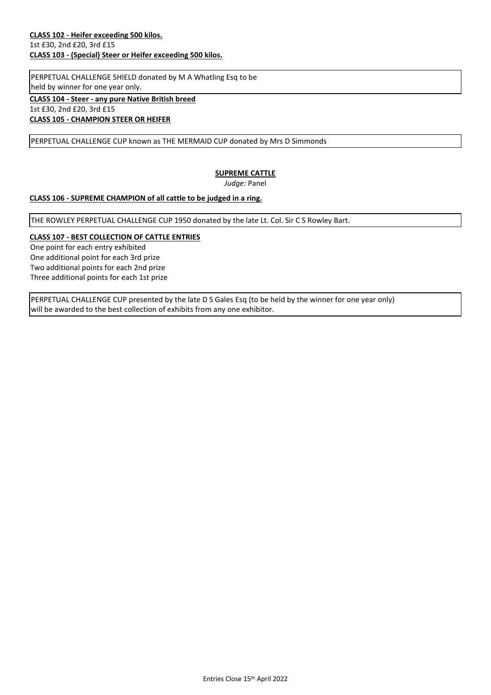PERPETUAL CHALLENGE SHIELD donated by M A Whatling Esq to be held by winner for one year only.

**CLASS 104 - Steer - any pure Native British breed** 1st £30, 2nd £20, 3rd £15 **CLASS 105 - CHAMPION STEER OR HEIFER**

PERPETUAL CHALLENGE CUP known as THE MERMAID CUP donated by Mrs D Simmonds

#### **SUPREME CATTLE**

*Judge:* Panel

#### **CLASS 106 - SUPREME CHAMPION of all cattle to be judged in a ring.**

THE ROWLEY PERPETUAL CHALLENGE CUP 1950 donated by the late Lt. Col. Sir C S Rowley Bart.

#### **CLASS 107 - BEST COLLECTION OF CATTLE ENTRIES**

One point for each entry exhibited One additional point for each 3rd prize Two additional points for each 2nd prize Three additional points for each 1st prize

PERPETUAL CHALLENGE CUP presented by the late D S Gales Esq (to be held by the winner for one year only) will be awarded to the best collection of exhibits from any one exhibitor.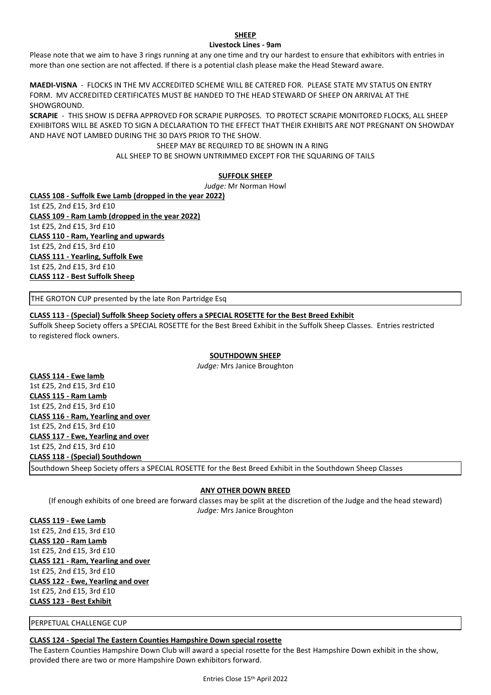#### **SHEEP Livestock Lines - 9am**

Please note that we aim to have 3 rings running at any one time and try our hardest to ensure that exhibitors with entries in more than one section are not affected. If there is a potential clash please make the Head Steward aware.

**MAEDI-VISNA** - FLOCKS IN THE MV ACCREDITED SCHEME WILL BE CATERED FOR. PLEASE STATE MV STATUS ON ENTRY FORM. MV ACCREDITED CERTIFICATES MUST BE HANDED TO THE HEAD STEWARD OF SHEEP ON ARRIVAL AT THE SHOWGROUND.

**SCRAPIE** - THIS SHOW IS DEFRA APPROVED FOR SCRAPIE PURPOSES. TO PROTECT SCRAPIE MONITORED FLOCKS, ALL SHEEP EXHIBITORS WILL BE ASKED TO SIGN A DECLARATION TO THE EFFECT THAT THEIR EXHIBITS ARE NOT PREGNANT ON SHOWDAY AND HAVE NOT LAMBED DURING THE 30 DAYS PRIOR TO THE SHOW.

> SHEEP MAY BE REQUIRED TO BE SHOWN IN A RING ALL SHEEP TO BE SHOWN UNTRIMMED EXCEPT FOR THE SQUARING OF TAILS

#### **SUFFOLK SHEEP**

*Judge:* Mr Norman Howl

**CLASS 108 - Suffolk Ewe Lamb (dropped in the year 2022)**

1st £25, 2nd £15, 3rd £10 **CLASS 109 - Ram Lamb (dropped in the year 2022)** 1st £25, 2nd £15, 3rd £10 **CLASS 110 - Ram, Yearling and upwards** 1st £25, 2nd £15, 3rd £10 **CLASS 111 - Yearling, Suffolk Ewe** 1st £25, 2nd £15, 3rd £10 **CLASS 112 - Best Suffolk Sheep**

THE GROTON CUP presented by the late Ron Partridge Esq

#### **CLASS 113 - (Special) Suffolk Sheep Society offers a SPECIAL ROSETTE for the Best Breed Exhibit**

Suffolk Sheep Society offers a SPECIAL ROSETTE for the Best Breed Exhibit in the Suffolk Sheep Classes. Entries restricted to registered flock owners.

#### **SOUTHDOWN SHEEP**

*Judge:* Mrs Janice Broughton

**CLASS 114 - Ewe lamb** 1st £25, 2nd £15, 3rd £10 **CLASS 115 - Ram Lamb** 1st £25, 2nd £15, 3rd £10 **CLASS 116 - Ram, Yearling and over** 1st £25, 2nd £15, 3rd £10 **CLASS 117 - Ewe, Yearling and over** 1st £25, 2nd £15, 3rd £10 **CLASS 118 - (Special) Southdown**  Southdown Sheep Society offers a SPECIAL ROSETTE for the Best Breed Exhibit in the Southdown Sheep Classes

#### **ANY OTHER DOWN BREED**

(If enough exhibits of one breed are forward classes may be split at the discretion of the Judge and the head steward) *Judge:* Mrs Janice Broughton

**CLASS 119 - Ewe Lamb** 1st £25, 2nd £15, 3rd £10 **CLASS 120 - Ram Lamb** 1st £25, 2nd £15, 3rd £10 **CLASS 121 - Ram, Yearling and over** 1st £25, 2nd £15, 3rd £10 **CLASS 122 - Ewe, Yearling and over** 1st £25, 2nd £15, 3rd £10 **CLASS 123 - Best Exhibit**

PERPETUAL CHALLENGE CUP

#### **CLASS 124 - Special The Eastern Counties Hampshire Down special rosette**

The Eastern Counties Hampshire Down Club will award a special rosette for the Best Hampshire Down exhibit in the show, provided there are two or more Hampshire Down exhibitors forward.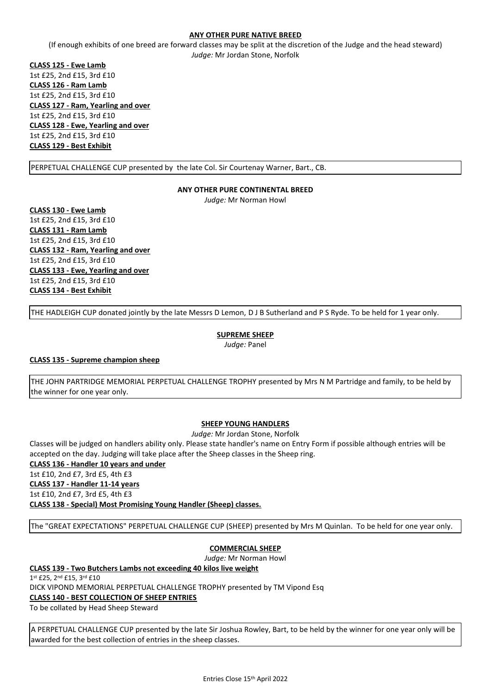#### **ANY OTHER PURE NATIVE BREED**

(If enough exhibits of one breed are forward classes may be split at the discretion of the Judge and the head steward) *Judge:* Mr Jordan Stone, Norfolk

**CLASS 125 - Ewe Lamb** 1st £25, 2nd £15, 3rd £10 **CLASS 126 - Ram Lamb** 1st £25, 2nd £15, 3rd £10 **CLASS 127 - Ram, Yearling and over** 1st £25, 2nd £15, 3rd £10 **CLASS 128 - Ewe, Yearling and over** 1st £25, 2nd £15, 3rd £10 **CLASS 129 - Best Exhibit**

PERPETUAL CHALLENGE CUP presented by the late Col. Sir Courtenay Warner, Bart., CB.

#### **ANY OTHER PURE CONTINENTAL BREED**

*Judge:* Mr Norman Howl

**CLASS 130 - Ewe Lamb** 1st £25, 2nd £15, 3rd £10 **CLASS 131 - Ram Lamb** 1st £25, 2nd £15, 3rd £10 **CLASS 132 - Ram, Yearling and over** 1st £25, 2nd £15, 3rd £10 **CLASS 133 - Ewe, Yearling and over** 1st £25, 2nd £15, 3rd £10 **CLASS 134 - Best Exhibit**

THE HADLEIGH CUP donated jointly by the late Messrs D Lemon, D J B Sutherland and P S Ryde. To be held for 1 year only.

### **SUPREME SHEEP**

*Judge:* Panel

#### **CLASS 135 - Supreme champion sheep**

THE JOHN PARTRIDGE MEMORIAL PERPETUAL CHALLENGE TROPHY presented by Mrs N M Partridge and family, to be held by the winner for one year only.

#### **SHEEP YOUNG HANDLERS**

*Judge:* Mr Jordan Stone, Norfolk

Classes will be judged on handlers ability only. Please state handler's name on Entry Form if possible although entries will be accepted on the day. Judging will take place after the Sheep classes in the Sheep ring. **CLASS 136 - Handler 10 years and under** 1st £10, 2nd £7, 3rd £5, 4th £3 **CLASS 137 - Handler 11-14 years** 1st £10, 2nd £7, 3rd £5, 4th £3 **CLASS 138 - Special) Most Promising Young Handler (Sheep) classes.**

The "GREAT EXPECTATIONS" PERPETUAL CHALLENGE CUP (SHEEP) presented by Mrs M Quinlan. To be held for one year only.

#### **COMMERCIAL SHEEP**

*Judge:* Mr Norman Howl

#### **CLASS 139 - Two Butchers Lambs not exceeding 40 kilos live weight**

1st £25, 2<sup>nd</sup> £15, 3rd £10 DICK VIPOND MEMORIAL PERPETUAL CHALLENGE TROPHY presented by TM Vipond Esq **CLASS 140 - BEST COLLECTION OF SHEEP ENTRIES**

To be collated by Head Sheep Steward

A PERPETUAL CHALLENGE CUP presented by the late Sir Joshua Rowley, Bart, to be held by the winner for one year only will be awarded for the best collection of entries in the sheep classes.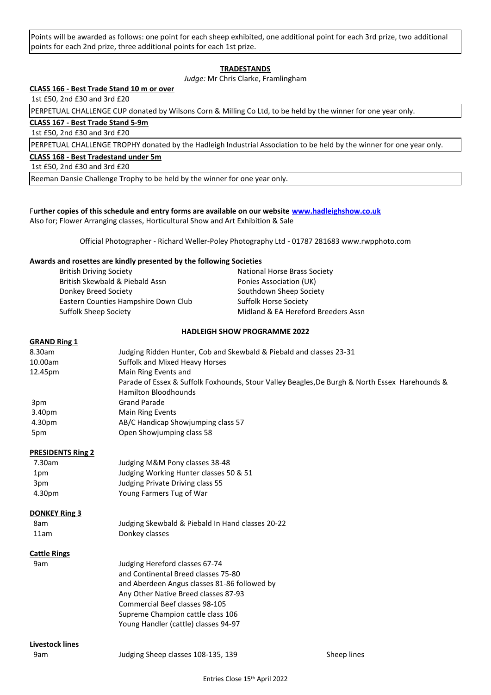Points will be awarded as follows: one point for each sheep exhibited, one additional point for each 3rd prize, two additional points for each 2nd prize, three additional points for each 1st prize.

#### **TRADESTANDS**

*Judge:* Mr Chris Clarke, Framlingham

#### **CLASS 166 - Best Trade Stand 10 m or over**

1st £50, 2nd £30 and 3rd £20

PERPETUAL CHALLENGE CUP donated by Wilsons Corn & Milling Co Ltd, to be held by the winner for one year only.

#### **CLASS 167 - Best Trade Stand 5-9m**

1st £50, 2nd £30 and 3rd £20

PERPETUAL CHALLENGE TROPHY donated by the Hadleigh Industrial Association to be held by the winner for one year only.

#### **CLASS 168 - Best Tradestand under 5m**

1st £50, 2nd £30 and 3rd £20

Reeman Dansie Challenge Trophy to be held by the winner for one year only.

#### F**urther copies of this schedule and entry forms are available on our website [www.hadleighshow.co.uk](http://www.hadleighshow.co.uk/)**

Also for; Flower Arranging classes, Horticultural Show and Art Exhibition & Sale

Official Photographer - Richard Weller-Poley Photography Ltd - 01787 281683 www.rwpphoto.com

#### **Awards and rosettes are kindly presented by the following Societies**

| <b>British Driving Society</b>       | National Horse Brass Society        |
|--------------------------------------|-------------------------------------|
| British Skewbald & Piebald Assn      | Ponies Association (UK)             |
| Donkey Breed Society                 | Southdown Sheep Society             |
| Eastern Counties Hampshire Down Club | Suffolk Horse Society               |
| Suffolk Sheep Society                | Midland & EA Hereford Breeders Assn |
|                                      |                                     |

#### **HADLEIGH SHOW PROGRAMME 2022**

#### **GRAND Ring 1**

| 8.30am  | Judging Ridden Hunter, Cob and Skewbald & Piebald and classes 23-31                            |
|---------|------------------------------------------------------------------------------------------------|
| 10.00am | Suffolk and Mixed Heavy Horses                                                                 |
| 12.45pm | Main Ring Events and                                                                           |
|         | Parade of Essex & Suffolk Foxhounds, Stour Valley Beagles, De Burgh & North Essex Harehounds & |
|         | <b>Hamilton Bloodhounds</b>                                                                    |
| 3pm     | <b>Grand Parade</b>                                                                            |
| 3.40pm  | <b>Main Ring Events</b>                                                                        |
| 4.30pm  | AB/C Handicap Showjumping class 57                                                             |
| 5pm     | Open Showiumping class 58                                                                      |
|         |                                                                                                |

#### **PRESIDENTS Ring 2**

| 7.30am | Judging M&M Pony classes 38-48         |
|--------|----------------------------------------|
| 1pm    | Judging Working Hunter classes 50 & 51 |
| 3pm    | Judging Private Driving class 55       |
| 4.30pm | Young Farmers Tug of War               |
|        |                                        |

#### **DONKEY Ring 3**

| 8am  | Judging Skewbald & Piebald In Hand classes 20-22 |
|------|--------------------------------------------------|
| 11am | Donkey classes                                   |

#### **Cattle Rings**

| 9am | Judging Hereford classes 67-74               |
|-----|----------------------------------------------|
|     | and Continental Breed classes 75-80          |
|     | and Aberdeen Angus classes 81-86 followed by |
|     | Any Other Native Breed classes 87-93         |
|     | Commercial Beef classes 98-105               |
|     | Supreme Champion cattle class 106            |
|     | Young Handler (cattle) classes 94-97         |
|     |                                              |

#### **Livestock lines**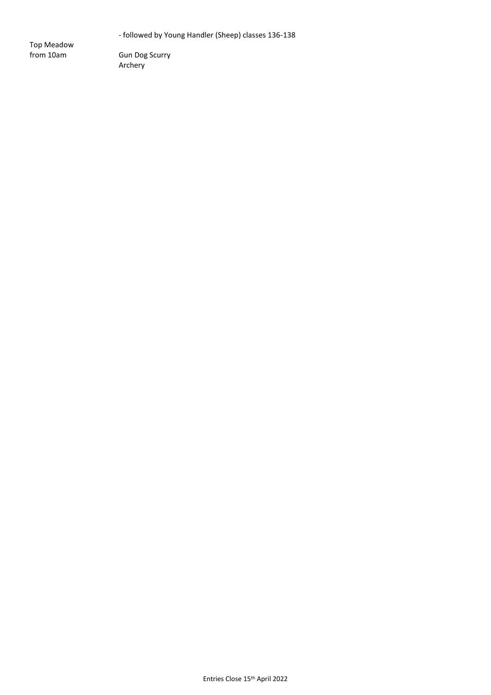- followed by Young Handler (Sheep) classes 136-138

Top Meadow

Gun Dog Scurry Archery